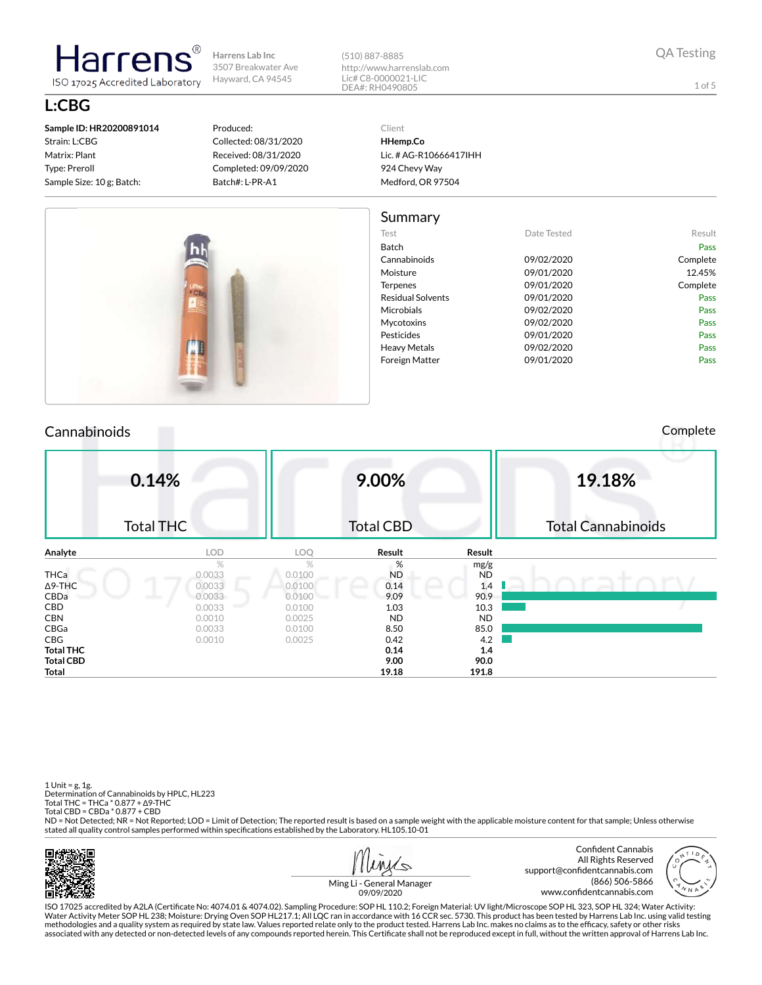(510) 887-8885 http://www.harrenslab.com Lic# C8-0000021-LIC DEA#: RH0490805

1 of 5

**L:CBG Sample ID: HR20200891014** Strain: L:CBG

Matrix: Plant Type: Preroll Sample Size: 10 g; Batch:

larren ISO 17025 Accredited Laboratory

#### Produced: Collected: 08/31/2020 Received: 08/31/2020 Completed: 09/09/2020 Batch#: L-PR-A1

Client **HHemp.Co** Lic. # AG-R10666417IHH 924 Chevy Way Medford, OR 97504



## Cannabinoids Complete

| 0.14%            | <b>Total THC</b> |            | 9.00%<br><b>Total CBD</b> |           | 19.18%<br><b>Total Cannabinoids</b> |
|------------------|------------------|------------|---------------------------|-----------|-------------------------------------|
| Analyte          | <b>LOD</b>       | <b>LOQ</b> | Result                    | Result    |                                     |
|                  | $\%$             | $\%$       | %                         | mg/g      |                                     |
| <b>THCa</b>      | 0.0033           | 0.0100     | <b>ND</b>                 | <b>ND</b> |                                     |
| $\Delta$ 9-THC   | 0.0033           | 0.0100     | 0.14                      | 1.4       |                                     |
| CBDa             | 0.0033           | 0.0100     | 9.09                      | 90.9      |                                     |
| <b>CBD</b>       | 0.0033           | 0.0100     | 1.03                      | 10.3      |                                     |
| <b>CBN</b>       | 0.0010           | 0.0025     | <b>ND</b>                 | <b>ND</b> |                                     |
| CBGa             | 0.0033           | 0.0100     | 8.50                      | 85.0      |                                     |
| CBG              | 0.0010           | 0.0025     | 0.42                      | 4.2       |                                     |
| <b>Total THC</b> |                  |            | 0.14                      | 1.4       |                                     |
| <b>Total CBD</b> |                  |            | 9.00                      | 90.0      |                                     |
| Total            |                  |            | 19.18                     | 191.8     |                                     |

1 Unit = g, 1g. Determination of Cannabinoids by HPLC, HL223 Total THC = THCa \* 0.877 + ∆9-THC Total CBD = CBDa \* 0.877 + CBD

ND = Not Detected; NR = Not Reported; LOD = Limit of Detection; The reported result is based on a sample weight with the applicable moisture content for that sample; Unless otherwise stated all quality control samples performed within specifications established by the Laboratory. HL105.10-01







Ming Li - General Manager 09/09/2020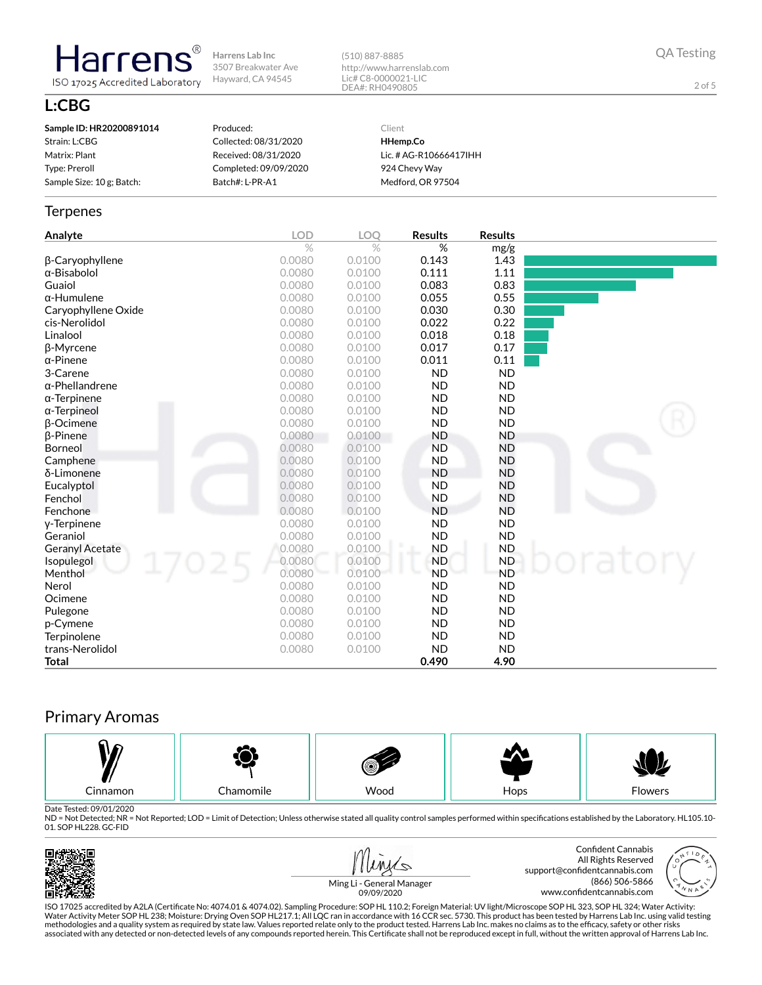(510) 887-8885 http://www.harrenslab.com Lic# C8-0000021-LIC DEA#: RH0490805

QA Testing

2 of 5

# **L:CBG**

**Harrens** 

ISO 17025 Accredited Laboratory

| Strain: L:CBG<br>Collected: 08/31/2020<br>HHemp.Co<br>Matrix: Plant<br>Received: 08/31/2020<br>Lic. # AG-R10666417IHH<br>Completed: 09/09/2020<br>Type: Preroll<br>924 Chevy Way | Sample ID: HR20200891014  | Produced:       | Client            |
|----------------------------------------------------------------------------------------------------------------------------------------------------------------------------------|---------------------------|-----------------|-------------------|
|                                                                                                                                                                                  |                           |                 |                   |
|                                                                                                                                                                                  |                           |                 |                   |
|                                                                                                                                                                                  |                           |                 |                   |
|                                                                                                                                                                                  | Sample Size: 10 g; Batch: | Batch#: L-PR-A1 | Medford, OR 97504 |

#### **Terpenes**

| Analyte                | <b>LOD</b> | LOQ    | <b>Results</b> | <b>Results</b> |  |
|------------------------|------------|--------|----------------|----------------|--|
|                        | $\%$       | $\%$   | %              | mg/g           |  |
| β-Caryophyllene        | 0.0080     | 0.0100 | 0.143          | 1.43           |  |
| $\alpha$ -Bisabolol    | 0.0080     | 0.0100 | 0.111          | 1.11           |  |
| Guaiol                 | 0.0080     | 0.0100 | 0.083          | 0.83           |  |
| $\alpha$ -Humulene     | 0.0080     | 0.0100 | 0.055          | 0.55           |  |
| Caryophyllene Oxide    | 0.0080     | 0.0100 | 0.030          | 0.30           |  |
| cis-Nerolidol          | 0.0080     | 0.0100 | 0.022          | 0.22           |  |
| Linalool               | 0.0080     | 0.0100 | 0.018          | 0.18           |  |
| β-Myrcene              | 0.0080     | 0.0100 | 0.017          | 0.17           |  |
| $\alpha$ -Pinene       | 0.0080     | 0.0100 | 0.011          | 0.11           |  |
| 3-Carene               | 0.0080     | 0.0100 | <b>ND</b>      | <b>ND</b>      |  |
| $\alpha$ -Phellandrene | 0.0080     | 0.0100 | <b>ND</b>      | <b>ND</b>      |  |
| $\alpha$ -Terpinene    | 0.0080     | 0.0100 | <b>ND</b>      | <b>ND</b>      |  |
| $\alpha$ -Terpineol    | 0.0080     | 0.0100 | <b>ND</b>      | <b>ND</b>      |  |
| <b>B-Ocimene</b>       | 0.0080     | 0.0100 | <b>ND</b>      | <b>ND</b>      |  |
| $\beta$ -Pinene        | 0.0080     | 0.0100 | <b>ND</b>      | <b>ND</b>      |  |
| Borneol                | 0.0080     | 0.0100 | <b>ND</b>      | <b>ND</b>      |  |
| Camphene               | 0.0080     | 0.0100 | <b>ND</b>      | <b>ND</b>      |  |
| δ-Limonene             | 0.0080     | 0.0100 | <b>ND</b>      | <b>ND</b>      |  |
| Eucalyptol             | 0.0080     | 0.0100 | <b>ND</b>      | <b>ND</b>      |  |
| Fenchol                | 0.0080     | 0.0100 | <b>ND</b>      | <b>ND</b>      |  |
| Fenchone               | 0.0080     | 0.0100 | <b>ND</b>      | <b>ND</b>      |  |
| y-Terpinene            | 0.0080     | 0.0100 | <b>ND</b>      | <b>ND</b>      |  |
| Geraniol               | 0.0080     | 0.0100 | <b>ND</b>      | <b>ND</b>      |  |
| Geranyl Acetate        | 0.0080     | 0.0100 | <b>ND</b>      | <b>ND</b>      |  |
| Isopulegol             | 0.0080     | 0.0100 | <b>ND</b>      | <b>ND</b>      |  |
| Menthol                | 0.0080     | 0.0100 | <b>ND</b>      | <b>ND</b>      |  |
| Nerol                  | 0.0080     | 0.0100 | <b>ND</b>      | <b>ND</b>      |  |
| Ocimene                | 0.0080     | 0.0100 | <b>ND</b>      | <b>ND</b>      |  |
| Pulegone               | 0.0080     | 0.0100 | <b>ND</b>      | <b>ND</b>      |  |
| p-Cymene               | 0.0080     | 0.0100 | <b>ND</b>      | <b>ND</b>      |  |
| Terpinolene            | 0.0080     | 0.0100 | <b>ND</b>      | <b>ND</b>      |  |
| trans-Nerolidol        | 0.0080     | 0.0100 | <b>ND</b>      | <b>ND</b>      |  |
| <b>Total</b>           |            |        | 0.490          | 4.90           |  |

# Primary Aromas



Date Tested: 09/01/2020<br>ND = Not Detected; NR = Not Reported; LOD = Limit of Detection; Unless otherwise stated all quality control samples performed within specifications established by the Laboratory. HL105.10-01. SOP HL228. GC-FID





Ming Li - General Manager 09/09/2020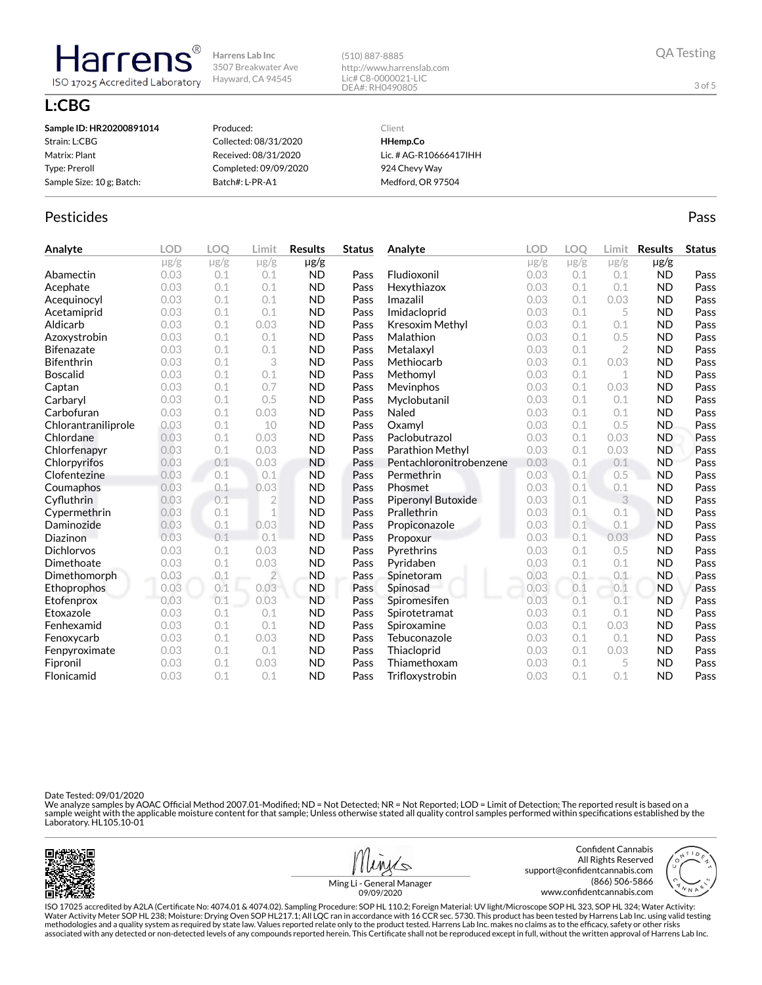(510) 887-8885 http://www.harrenslab.com Lic# C8-0000021-LIC DEA#: RH0490805

## **L:CBG**

Harrens

ISO 17025 Accredited Laboratory

| Sample ID: HR20200891014  | Produced:             | Client                 |
|---------------------------|-----------------------|------------------------|
| Strain: L:CBG             | Collected: 08/31/2020 | HHemp.Co               |
| Matrix: Plant             | Received: 08/31/2020  | Lic. # AG-R10666417IHH |
| Type: Preroll             | Completed: 09/09/2020 | 924 Chevy Way          |
| Sample Size: 10 g; Batch: | Batch#: L-PR-A1       | Medford, OR 97504      |
|                           |                       |                        |

### Pesticides **Passage Community Community Community** Passes and the extension of the extension of the extension of the extension of the extension of the extension of the extension of the extension of the extension of the ext

| Analyte             | <b>LOD</b> | LOQ       | Limit          | <b>Results</b> | <b>Status</b> | Analyte                 | <b>LOD</b> | <b>LOO</b> | Limit          | <b>Results</b> | <b>Status</b> |
|---------------------|------------|-----------|----------------|----------------|---------------|-------------------------|------------|------------|----------------|----------------|---------------|
|                     | $\mu$ g/g  | $\mu$ g/g | $\mu$ g/g      | µg/g           |               |                         | $\mu$ g/g  | $\mu$ g/g  | $\mu$ g/g      | $\mu$ g/g      |               |
| Abamectin           | 0.03       | 0.1       | 0.1            | <b>ND</b>      | Pass          | Fludioxonil             | 0.03       | 0.1        | 0.1            | <b>ND</b>      | Pass          |
| Acephate            | 0.03       | 0.1       | 0.1            | <b>ND</b>      | Pass          | Hexythiazox             | 0.03       | 0.1        | 0.1            | <b>ND</b>      | Pass          |
| Acequinocyl         | 0.03       | 0.1       | 0.1            | <b>ND</b>      | Pass          | Imazalil                | 0.03       | 0.1        | 0.03           | <b>ND</b>      | Pass          |
| Acetamiprid         | 0.03       | 0.1       | 0.1            | <b>ND</b>      | Pass          | Imidacloprid            | 0.03       | 0.1        | 5              | <b>ND</b>      | Pass          |
| Aldicarb            | 0.03       | 0.1       | 0.03           | <b>ND</b>      | Pass          | Kresoxim Methyl         | 0.03       | 0.1        | 0.1            | <b>ND</b>      | Pass          |
| Azoxystrobin        | 0.03       | 0.1       | 0.1            | <b>ND</b>      | Pass          | Malathion               | 0.03       | 0.1        | 0.5            | <b>ND</b>      | Pass          |
| <b>Bifenazate</b>   | 0.03       | 0.1       | 0.1            | <b>ND</b>      | Pass          | Metalaxyl               | 0.03       | 0.1        | $\overline{2}$ | <b>ND</b>      | Pass          |
| <b>Bifenthrin</b>   | 0.03       | 0.1       | 3              | <b>ND</b>      | Pass          | Methiocarb              | 0.03       | 0.1        | 0.03           | <b>ND</b>      | Pass          |
| <b>Boscalid</b>     | 0.03       | 0.1       | 0.1            | <b>ND</b>      | Pass          | Methomyl                | 0.03       | 0.1        | $\mathbf 1$    | <b>ND</b>      | Pass          |
| Captan              | 0.03       | 0.1       | 0.7            | <b>ND</b>      | Pass          | Mevinphos               | 0.03       | 0.1        | 0.03           | <b>ND</b>      | Pass          |
| Carbaryl            | 0.03       | 0.1       | 0.5            | <b>ND</b>      | Pass          | Myclobutanil            | 0.03       | 0.1        | 0.1            | <b>ND</b>      | Pass          |
| Carbofuran          | 0.03       | 0.1       | 0.03           | <b>ND</b>      | Pass          | Naled                   | 0.03       | 0.1        | 0.1            | <b>ND</b>      | Pass          |
| Chlorantraniliprole | 0.03       | 0.1       | 10             | <b>ND</b>      | Pass          | Oxamvl                  | 0.03       | 0.1        | 0.5            | <b>ND</b>      | Pass          |
| Chlordane           | 0.03       | 0.1       | 0.03           | <b>ND</b>      | Pass          | Paclobutrazol           | 0.03       | 0.1        | 0.03           | <b>ND</b>      | Pass          |
| Chlorfenapyr        | 0.03       | 0.1       | 0.03           | <b>ND</b>      | Pass          | Parathion Methyl        | 0.03       | 0.1        | 0.03           | <b>ND</b>      | Pass          |
| Chlorpyrifos        | 0.03       | 0.1       | 0.03           | <b>ND</b>      | Pass          | Pentachloronitrobenzene | 0.03       | 0.1        | 0.1            | <b>ND</b>      | Pass          |
| Clofentezine        | 0.03       | 0.1       | 0.1            | <b>ND</b>      | Pass          | Permethrin              | 0.03       | 0.1        | 0.5            | <b>ND</b>      | Pass          |
| Coumaphos           | 0.03       | 0.1       | 0.03           | <b>ND</b>      | Pass          | Phosmet                 | 0.03       | 0.1        | 0.1            | <b>ND</b>      | Pass          |
| Cyfluthrin          | 0.03       | 0.1       | $\overline{2}$ | <b>ND</b>      | Pass          | Piperonyl Butoxide      | 0.03       | 0.1        | 3              | <b>ND</b>      | Pass          |
| Cypermethrin        | 0.03       | 0.1       | $\mathbf 1$    | <b>ND</b>      | Pass          | Prallethrin             | 0.03       | 0.1        | 0.1            | <b>ND</b>      | Pass          |
| Daminozide          | 0.03       | 0.1       | 0.03           | <b>ND</b>      | Pass          | Propiconazole           | 0.03       | 0.1        | 0.1            | <b>ND</b>      | Pass          |
| Diazinon            | 0.03       | 0.1       | 0.1            | <b>ND</b>      | Pass          | Propoxur                | 0.03       | 0.1        | 0.03           | <b>ND</b>      | Pass          |
| <b>Dichlorvos</b>   | 0.03       | 0.1       | 0.03           | <b>ND</b>      | Pass          | Pyrethrins              | 0.03       | 0.1        | 0.5            | ND             | Pass          |
| Dimethoate          | 0.03       | 0.1       | 0.03           | <b>ND</b>      | Pass          | Pyridaben               | 0.03       | 0.1        | 0.1            | <b>ND</b>      | Pass          |
| Dimethomorph        | 0.03       | 0.1       | $\overline{2}$ | <b>ND</b>      | Pass          | Spinetoram              | 0.03       | 0.1        | 0.1            | <b>ND</b>      | Pass          |
| Ethoprophos         | 0.03       | 0.1       | 0.03           | <b>ND</b>      | Pass          | Spinosad                | 0.03       | 0.1        | 0.1            | <b>ND</b>      | Pass          |
| Etofenprox          | 0.03       | 0.1       | 0.03           | <b>ND</b>      | Pass          | Spiromesifen            | 0.03       | 0.1        | 0.1            | <b>ND</b>      | Pass          |
| Etoxazole           | 0.03       | 0.1       | 0.1            | <b>ND</b>      | Pass          | Spirotetramat           | 0.03       | 0.1        | 0.1            | <b>ND</b>      | Pass          |
| Fenhexamid          | 0.03       | 0.1       | 0.1            | <b>ND</b>      | Pass          | Spiroxamine             | 0.03       | 0.1        | 0.03           | <b>ND</b>      | Pass          |
| Fenoxycarb          | 0.03       | 0.1       | 0.03           | <b>ND</b>      | Pass          | Tebuconazole            | 0.03       | 0.1        | 0.1            | <b>ND</b>      | Pass          |
| Fenpyroximate       | 0.03       | 0.1       | 0.1            | <b>ND</b>      | Pass          | Thiacloprid             | 0.03       | 0.1        | 0.03           | <b>ND</b>      | Pass          |
| Fipronil            | 0.03       | 0.1       | 0.03           | <b>ND</b>      | Pass          | Thiamethoxam            | 0.03       | 0.1        | 5              | <b>ND</b>      | Pass          |
| Flonicamid          | 0.03       | 0.1       | 0.1            | <b>ND</b>      | Pass          | Trifloxystrobin         | 0.03       | 0.1        | 0.1            | <b>ND</b>      | Pass          |

Date Tested: 09/01/2020

We analyze samples by AOAC Official Method 2007.01-Modified; ND = Not Detected; NR = Not Reported; LOD = Limit of Detection; The reported result is based on a<br>sample weight with the applicable moisture content for that sam





3 of 5

support@confidentcannabis.com www.confidentcannabis.com

Ming Li - General Manager 09/09/2020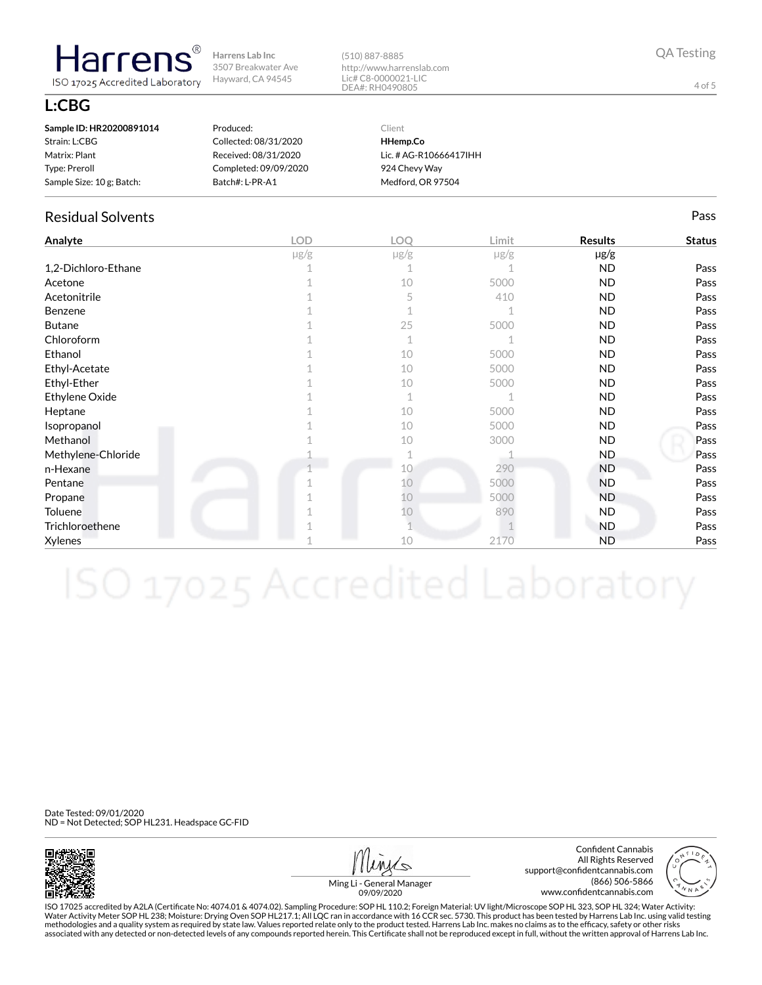(510) 887-8885 http://www.harrenslab.com Lic# C8-0000021-LIC DEA#: RH0490805

**L:CBG**

**Harrens** 

ISO 17025 Accredited Laboratory

| Sample ID: HR20200891014  | Produced:             | Client                 |
|---------------------------|-----------------------|------------------------|
| Strain: L:CBG             | Collected: 08/31/2020 | HHemp.Co               |
| Matrix: Plant             | Received: 08/31/2020  | Lic. # AG-R10666417IHH |
| Type: Preroll             | Completed: 09/09/2020 | 924 Chevy Way          |
| Sample Size: 10 g; Batch: | Batch#: L-PR-A1       | Medford, OR 97504      |

## Residual Solvents Pass

| Analyte             | <b>LOD</b> | LOQ       | Limit     | <b>Results</b> | <b>Status</b> |
|---------------------|------------|-----------|-----------|----------------|---------------|
|                     | $\mu$ g/g  | $\mu$ g/g | $\mu$ g/g | $\mu$ g/g      |               |
| 1,2-Dichloro-Ethane |            |           |           | <b>ND</b>      | Pass          |
| Acetone             |            | 10        | 5000      | <b>ND</b>      | Pass          |
| Acetonitrile        |            | 5         | 410       | <b>ND</b>      | Pass          |
| Benzene             |            |           |           | <b>ND</b>      | Pass          |
| <b>Butane</b>       |            | 25        | 5000      | <b>ND</b>      | Pass          |
| Chloroform          |            | 1         |           | <b>ND</b>      | Pass          |
| Ethanol             |            | 10        | 5000      | <b>ND</b>      | Pass          |
| Ethyl-Acetate       |            | 10        | 5000      | <b>ND</b>      | Pass          |
| Ethyl-Ether         |            | 10        | 5000      | <b>ND</b>      | Pass          |
| Ethylene Oxide      |            | 1         |           | <b>ND</b>      | Pass          |
| Heptane             |            | 10        | 5000      | <b>ND</b>      | Pass          |
| Isopropanol         |            | 10        | 5000      | <b>ND</b>      | Pass          |
| Methanol            |            | 10        | 3000      | <b>ND</b>      | Pass          |
| Methylene-Chloride  |            |           |           | ND.            | Pass          |
| n-Hexane            |            | 10        | 290       | <b>ND</b>      | Pass          |
| Pentane             |            | 10        | 5000      | <b>ND</b>      | Pass          |
| Propane             |            | 10        | 5000      | <b>ND</b>      | Pass          |
| Toluene             |            | 10        | 890       | ND.            | Pass          |
| Trichloroethene     |            |           |           | <b>ND</b>      | Pass          |
| Xylenes             |            | 10        | 2170      | <b>ND</b>      | Pass          |

Date Tested: 09/01/2020 ND = Not Detected; SOP HL231. Headspace GC-FID



Confident Cannabis All Rights Reserved support@confidentcannabis.com (866) 506-5866 www.confidentcannabis.com



Ming Li - General Manager 09/09/2020